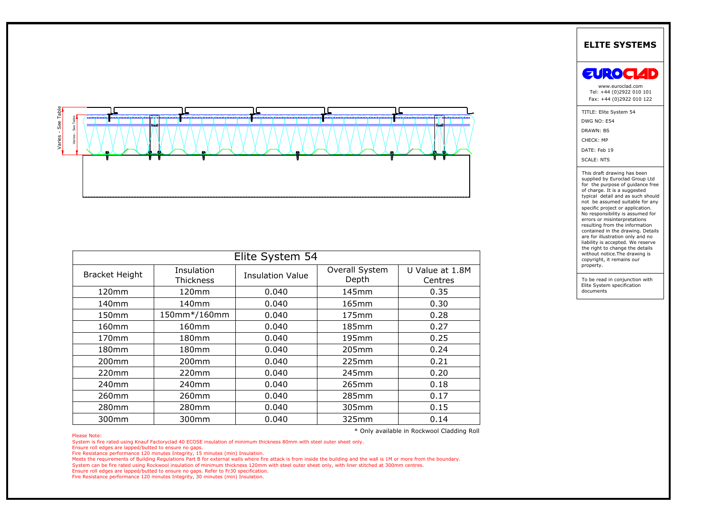

|                       |                         |                         |                         |                                            | <b>ELITE SYSTEMS</b>                                                                                                                                                                                                                                                                                                                                                                                                                                                                                                                                                      |
|-----------------------|-------------------------|-------------------------|-------------------------|--------------------------------------------|---------------------------------------------------------------------------------------------------------------------------------------------------------------------------------------------------------------------------------------------------------------------------------------------------------------------------------------------------------------------------------------------------------------------------------------------------------------------------------------------------------------------------------------------------------------------------|
|                       |                         |                         |                         |                                            | <b>EUROCIAD</b><br>www.euroclad.com<br>Tel: +44 (0)2922 010 101<br>Fax: +44 (0)2922 010 122                                                                                                                                                                                                                                                                                                                                                                                                                                                                               |
| See Tabl              |                         |                         |                         |                                            | TITLE: Elite System 54<br>DWG NO: E54<br>DRAWN: BS<br>CHECK: MP<br>DATE: Feb 19<br><b>SCALE: NTS</b><br>This draft drawing has been<br>supplied by Euroclad Group Ltd<br>for the purpose of guidance free<br>of charge. It is a suggested<br>typical detail and as such should<br>not be assumed suitable for any<br>specific project or application.<br>No responsibility is assumed for<br>errors or misinterpretations<br>resulting from the information<br>contained in the drawing. Details<br>are for illustration only and no<br>liability is accepted. We reserve |
|                       |                         | Elite System 54         |                         |                                            | the right to change the details<br>without notice. The drawing is<br>copyright, it remains our                                                                                                                                                                                                                                                                                                                                                                                                                                                                            |
| <b>Bracket Height</b> | Insulation<br>Thickness | <b>Insulation Value</b> | Overall System<br>Depth | U Value at 1.8M<br>Centres                 | property.<br>To be read in conjunction with                                                                                                                                                                                                                                                                                                                                                                                                                                                                                                                               |
| 120mm                 | 120mm                   | 0.040                   | 145mm                   | 0.35                                       | Elite System specification<br>documents                                                                                                                                                                                                                                                                                                                                                                                                                                                                                                                                   |
| 140mm                 | 140mm                   | 0.040                   | 165mm                   | 0.30                                       |                                                                                                                                                                                                                                                                                                                                                                                                                                                                                                                                                                           |
| 150mm                 | 150mm*/160mm            | 0.040                   | 175mm                   | 0.28                                       |                                                                                                                                                                                                                                                                                                                                                                                                                                                                                                                                                                           |
|                       | 160mm                   | 0.040                   | 185mm                   | 0.27                                       |                                                                                                                                                                                                                                                                                                                                                                                                                                                                                                                                                                           |
| 160mm                 | 180mm                   | 0.040                   | 195mm                   | 0.25                                       |                                                                                                                                                                                                                                                                                                                                                                                                                                                                                                                                                                           |
| 170mm                 |                         |                         | 205mm                   | 0.24                                       |                                                                                                                                                                                                                                                                                                                                                                                                                                                                                                                                                                           |
| 180mm                 | 180mm                   | 0.040                   |                         |                                            |                                                                                                                                                                                                                                                                                                                                                                                                                                                                                                                                                                           |
| 200mm                 | 200mm                   | 0.040                   | 225mm                   | 0.21                                       |                                                                                                                                                                                                                                                                                                                                                                                                                                                                                                                                                                           |
| 220mm                 | 220mm                   | 0.040                   | 245mm                   | 0.20                                       |                                                                                                                                                                                                                                                                                                                                                                                                                                                                                                                                                                           |
| 240mm                 | 240mm                   | 0.040                   | 265mm                   | 0.18                                       |                                                                                                                                                                                                                                                                                                                                                                                                                                                                                                                                                                           |
| 260mm                 | 260mm                   | 0.040                   | 285mm                   | 0.17                                       |                                                                                                                                                                                                                                                                                                                                                                                                                                                                                                                                                                           |
| 280mm                 | 280mm                   | 0.040                   | 305mm                   | 0.15                                       |                                                                                                                                                                                                                                                                                                                                                                                                                                                                                                                                                                           |
| 300mm                 | 300mm                   | 0.040                   | 325mm                   | 0.14                                       |                                                                                                                                                                                                                                                                                                                                                                                                                                                                                                                                                                           |
| Please Note:          |                         |                         |                         | * Only available in Rockwool Cladding Roll |                                                                                                                                                                                                                                                                                                                                                                                                                                                                                                                                                                           |

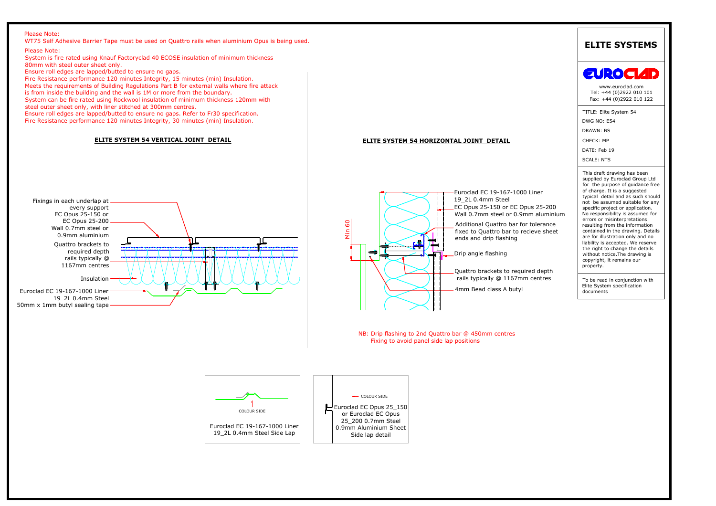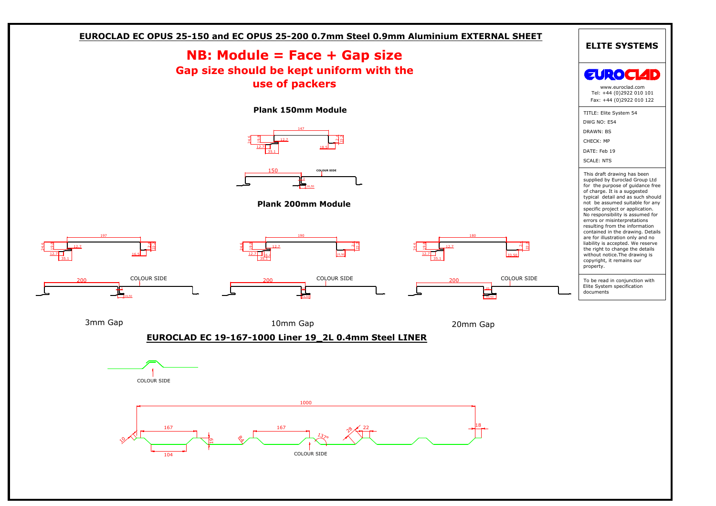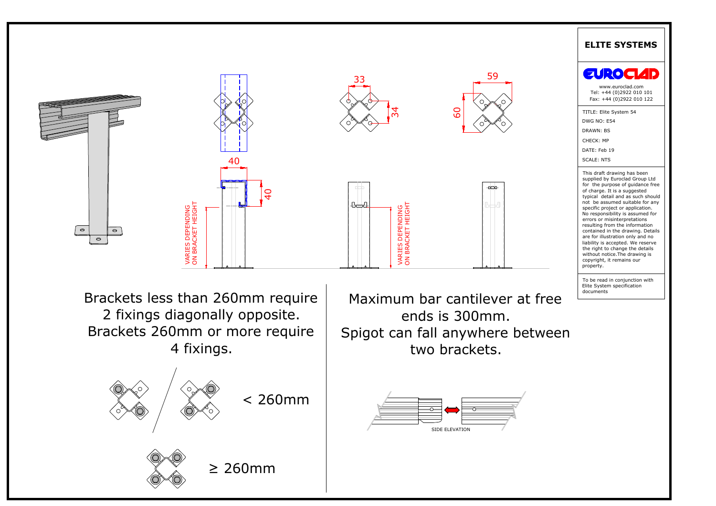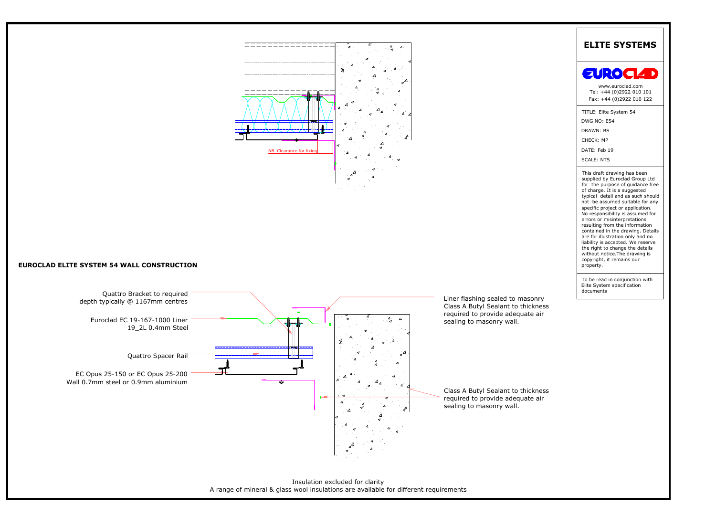



Insulation excluded for clarity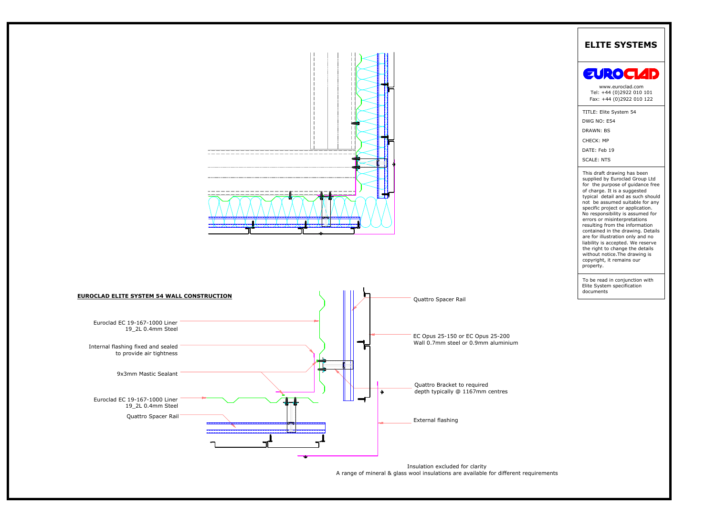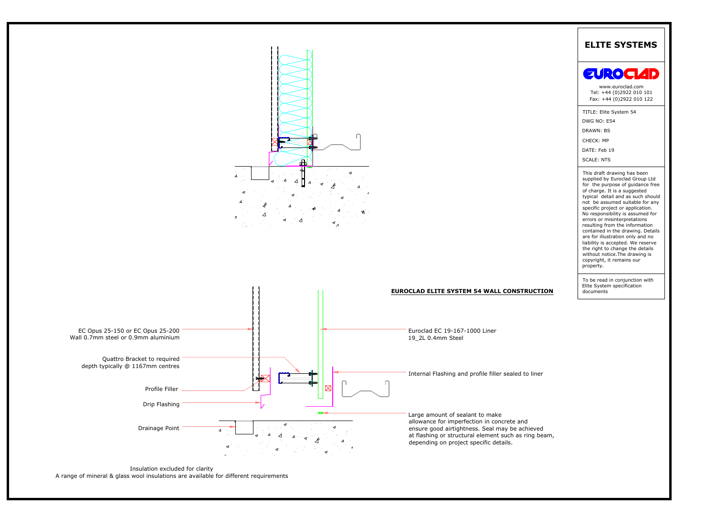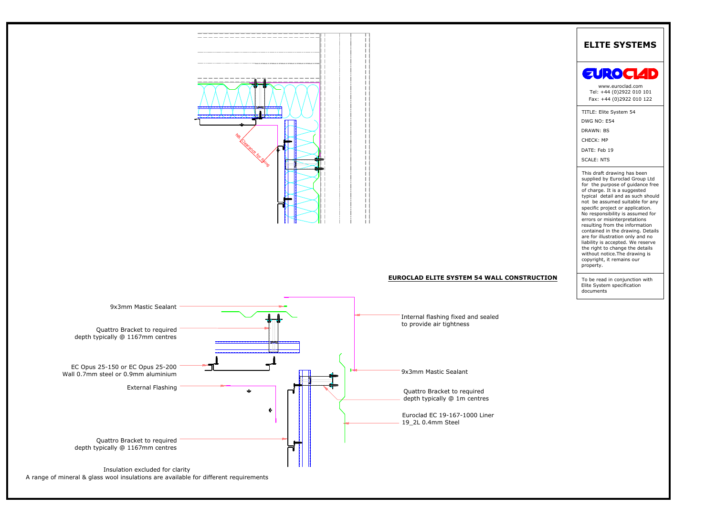



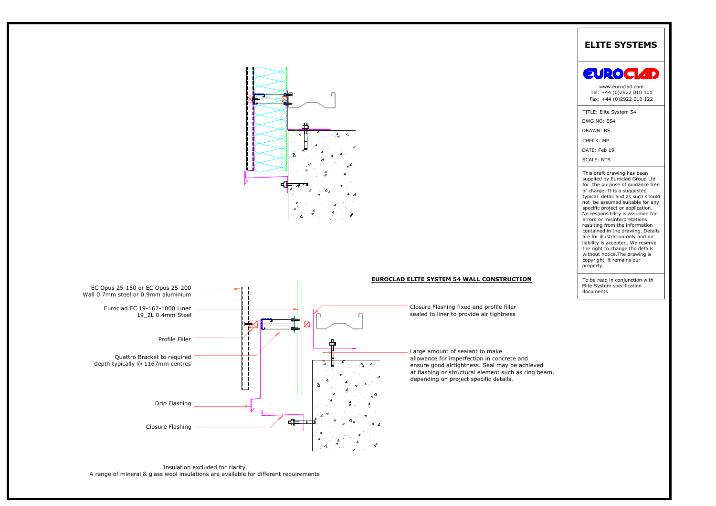

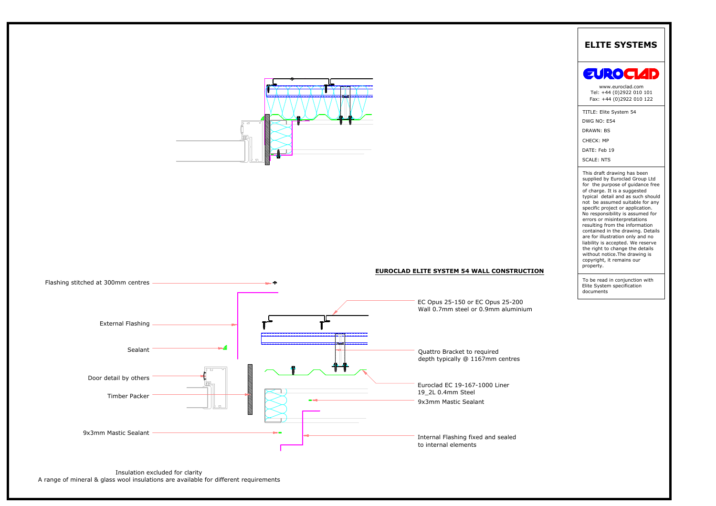



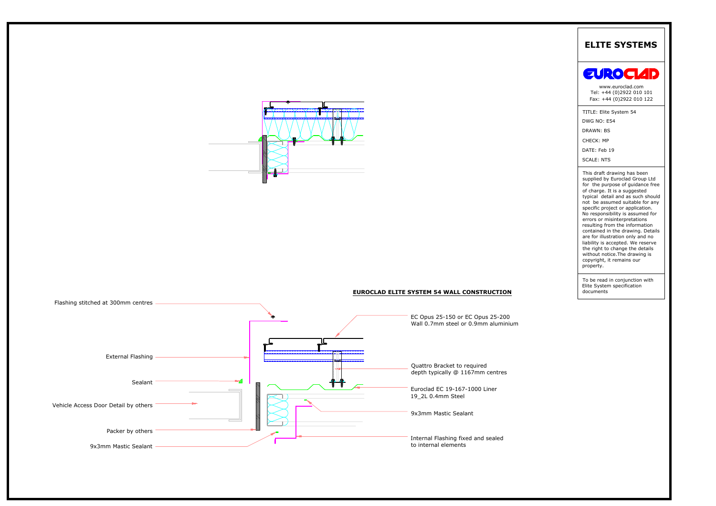

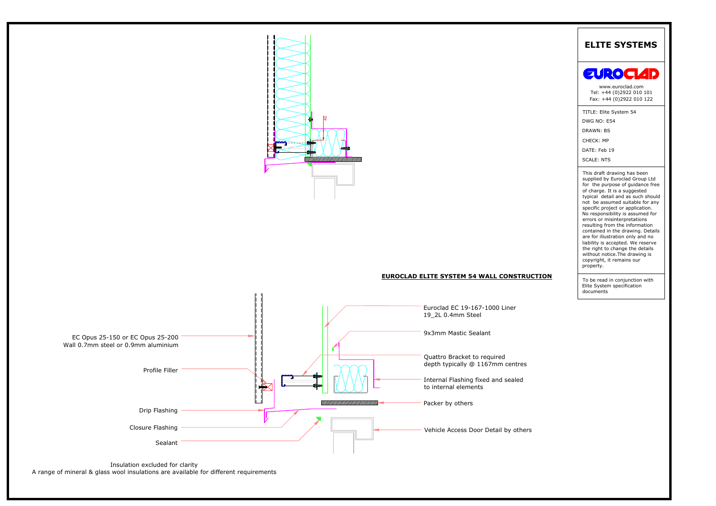

# **EUROCLAD ELITE SYSTEM 54 WALL CONSTRUCTION**



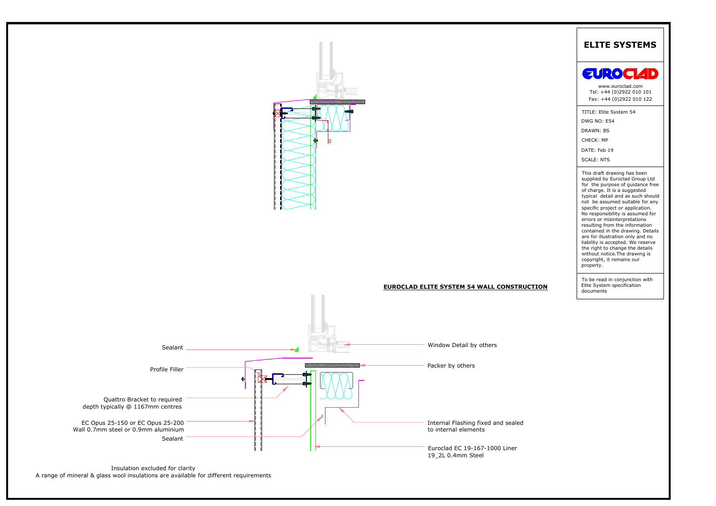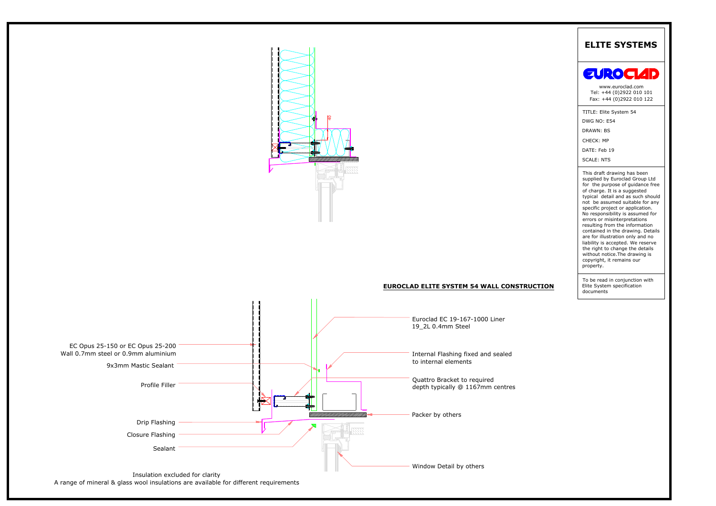

A range of mineral & glass wool insulations are available for different requirements